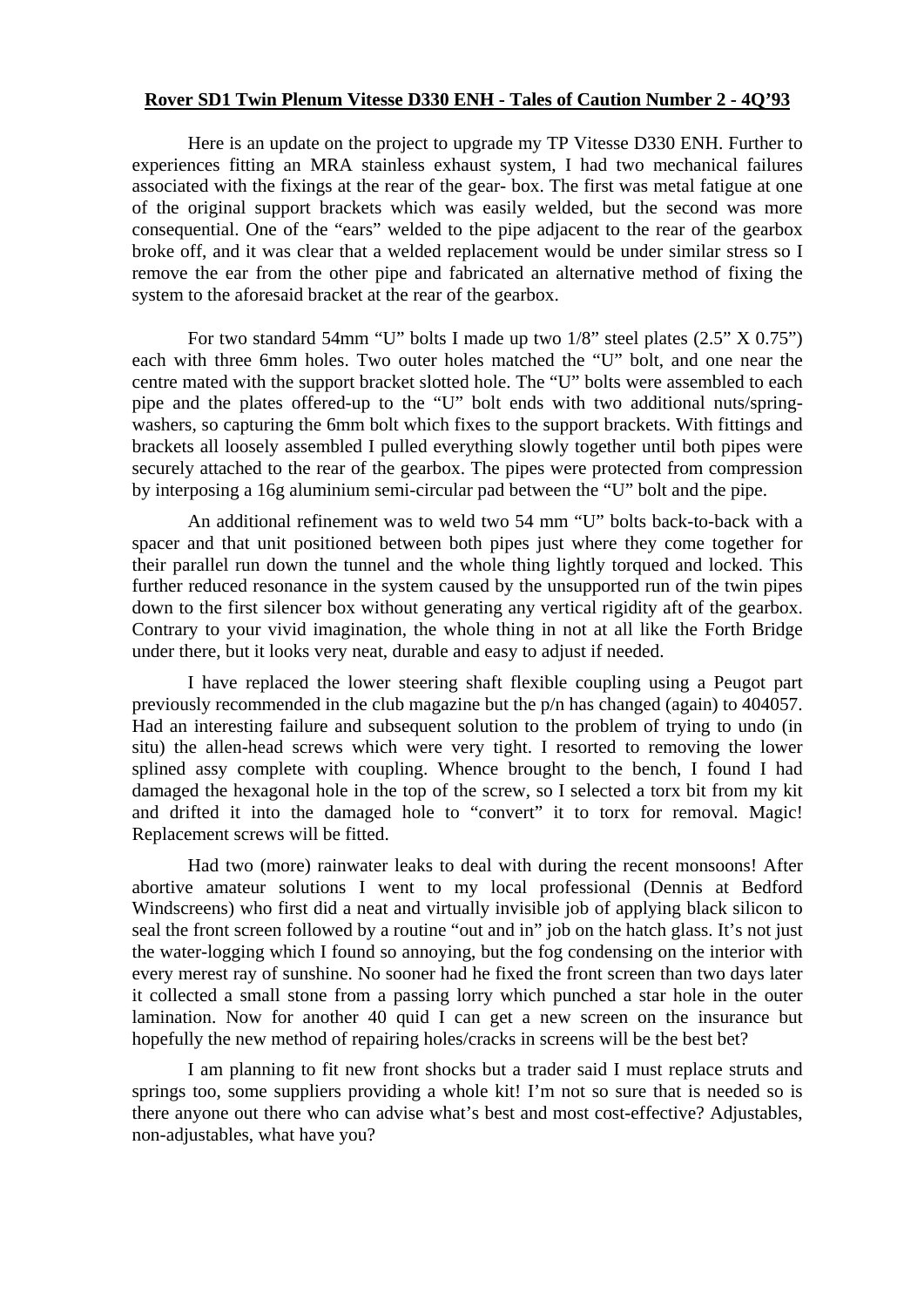## **Rover SD1 Twin Plenum Vitesse D330 ENH - Tales of Caution Number 2 - 4Q'93**

Here is an update on the project to upgrade my TP Vitesse D330 ENH. Further to experiences fitting an MRA stainless exhaust system, I had two mechanical failures associated with the fixings at the rear of the gear- box. The first was metal fatigue at one of the original support brackets which was easily welded, but the second was more consequential. One of the "ears" welded to the pipe adjacent to the rear of the gearbox broke off, and it was clear that a welded replacement would be under similar stress so I remove the ear from the other pipe and fabricated an alternative method of fixing the system to the aforesaid bracket at the rear of the gearbox.

For two standard 54mm "U" bolts I made up two  $1/8$ " steel plates  $(2.5" X 0.75")$ each with three 6mm holes. Two outer holes matched the "U" bolt, and one near the centre mated with the support bracket slotted hole. The "U" bolts were assembled to each pipe and the plates offered-up to the "U" bolt ends with two additional nuts/springwashers, so capturing the 6mm bolt which fixes to the support brackets. With fittings and brackets all loosely assembled I pulled everything slowly together until both pipes were securely attached to the rear of the gearbox. The pipes were protected from compression by interposing a 16g aluminium semi-circular pad between the "U" bolt and the pipe.

An additional refinement was to weld two 54 mm "U" bolts back-to-back with a spacer and that unit positioned between both pipes just where they come together for their parallel run down the tunnel and the whole thing lightly torqued and locked. This further reduced resonance in the system caused by the unsupported run of the twin pipes down to the first silencer box without generating any vertical rigidity aft of the gearbox. Contrary to your vivid imagination, the whole thing in not at all like the Forth Bridge under there, but it looks very neat, durable and easy to adjust if needed.

I have replaced the lower steering shaft flexible coupling using a Peugot part previously recommended in the club magazine but the p/n has changed (again) to 404057. Had an interesting failure and subsequent solution to the problem of trying to undo (in situ) the allen-head screws which were very tight. I resorted to removing the lower splined assy complete with coupling. Whence brought to the bench, I found I had damaged the hexagonal hole in the top of the screw, so I selected a torx bit from my kit and drifted it into the damaged hole to "convert" it to torx for removal. Magic! Replacement screws will be fitted.

Had two (more) rainwater leaks to deal with during the recent monsoons! After abortive amateur solutions I went to my local professional (Dennis at Bedford Windscreens) who first did a neat and virtually invisible job of applying black silicon to seal the front screen followed by a routine "out and in" job on the hatch glass. It's not just the water-logging which I found so annoying, but the fog condensing on the interior with every merest ray of sunshine. No sooner had he fixed the front screen than two days later it collected a small stone from a passing lorry which punched a star hole in the outer lamination. Now for another 40 quid I can get a new screen on the insurance but hopefully the new method of repairing holes/cracks in screens will be the best bet?

I am planning to fit new front shocks but a trader said I must replace struts and springs too, some suppliers providing a whole kit! I'm not so sure that is needed so is there anyone out there who can advise what's best and most cost-effective? Adjustables, non-adjustables, what have you?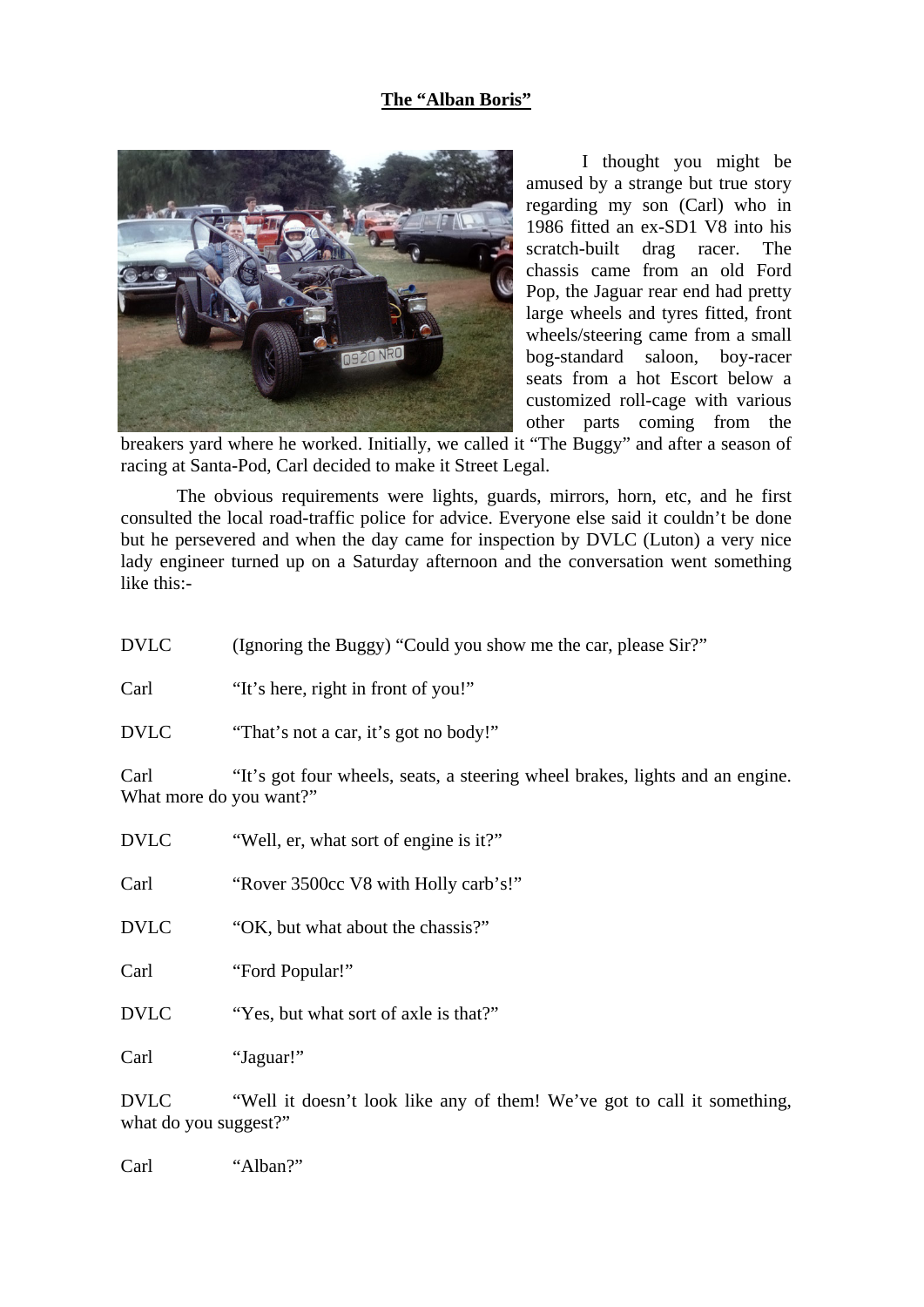## **The "Alban Boris"**



I thought you might be amused by a strange but true story regarding my son (Carl) who in 1986 fitted an ex-SD1 V8 into his scratch-built drag racer. The chassis came from an old Ford Pop, the Jaguar rear end had pretty large wheels and tyres fitted, front wheels/steering came from a small bog-standard saloon, boy-racer seats from a hot Escort below a customized roll-cage with various other parts coming from the

breakers yard where he worked. Initially, we called it "The Buggy" and after a season of racing at Santa-Pod, Carl decided to make it Street Legal.

The obvious requirements were lights, guards, mirrors, horn, etc, and he first consulted the local road-traffic police for advice. Everyone else said it couldn't be done but he persevered and when the day came for inspection by DVLC (Luton) a very nice lady engineer turned up on a Saturday afternoon and the conversation went something like this:-

| <b>DVLC</b>                     | (Ignoring the Buggy) "Could you show me the car, please Sir?"                |
|---------------------------------|------------------------------------------------------------------------------|
| Carl                            | "It's here, right in front of you!"                                          |
| <b>DVLC</b>                     | "That's not a car, it's got no body!"                                        |
| Carl<br>What more do you want?" | "It's got four wheels, seats, a steering wheel brakes, lights and an engine. |
| <b>DVLC</b>                     | "Well, er, what sort of engine is it?"                                       |
| Carl                            | "Rover 3500cc V8 with Holly carb's!"                                         |
| <b>DVLC</b>                     | "OK, but what about the chassis?"                                            |
| Carl                            | "Ford Popular!"                                                              |
| <b>DVLC</b>                     | "Yes, but what sort of axle is that?"                                        |
| Carl                            | "Jaguar!"                                                                    |

DVLC "Well it doesn't look like any of them! We've got to call it something, what do you suggest?"

Carl "Alban?"